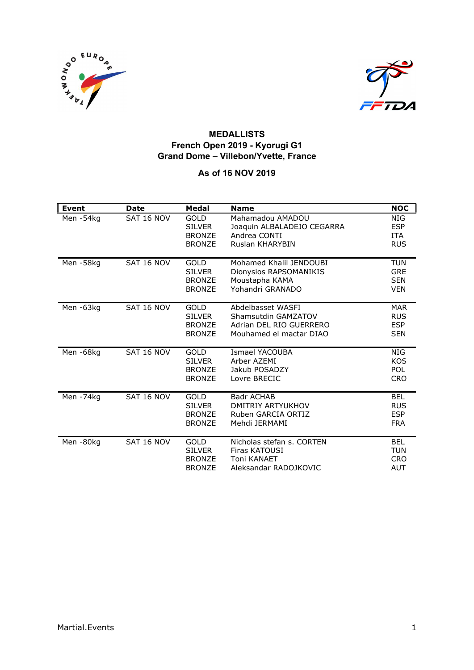



#### MEDALLISTS French Open 2019 - Kyorugi G1 Grand Dome – Villebon/Yvette, France

#### As of 16 NOV 2019

| <b>Event</b> | <b>Date</b> | Medal                                                          | <b>Name</b>                                                                                    | <b>NOC</b>                                           |
|--------------|-------------|----------------------------------------------------------------|------------------------------------------------------------------------------------------------|------------------------------------------------------|
| Men-54kg     | SAT 16 NOV  | <b>GOLD</b><br><b>SILVER</b><br><b>BRONZE</b><br><b>BRONZE</b> | Mahamadou AMADOU<br>Joaquin ALBALADEJO CEGARRA<br>Andrea CONTI<br>Ruslan KHARYBIN              | NIG<br><b>ESP</b><br><b>ITA</b><br><b>RUS</b>        |
| Men-58kg     | SAT 16 NOV  | <b>GOLD</b><br><b>SILVER</b><br><b>BRONZE</b><br><b>BRONZE</b> | Mohamed Khalil JENDOUBI<br>Dionysios RAPSOMANIKIS<br>Moustapha KAMA<br>Yohandri GRANADO        | <b>TUN</b><br><b>GRE</b><br><b>SEN</b><br><b>VEN</b> |
| Men-63kg     | SAT 16 NOV  | GOLD<br><b>SILVER</b><br><b>BRONZE</b><br><b>BRONZE</b>        | Abdelbasset WASFI<br>Shamsutdin GAMZATOV<br>Adrian DEL RIO GUERRERO<br>Mouhamed el mactar DIAO | <b>MAR</b><br><b>RUS</b><br><b>ESP</b><br><b>SEN</b> |
| Men-68kg     | SAT 16 NOV  | <b>GOLD</b><br><b>SILVER</b><br><b>BRONZE</b><br><b>BRONZE</b> | Ismael YACOUBA<br>Arber AZEMI<br>Jakub POSADZY<br>Lovre BRECIC                                 | <b>NIG</b><br><b>KOS</b><br>POL<br><b>CRO</b>        |
| Men-74kg     | SAT 16 NOV  | GOLD<br><b>SILVER</b><br><b>BRONZE</b><br><b>BRONZE</b>        | Badr ACHAB<br>DMITRIY ARTYUKHOV<br>Ruben GARCIA ORTIZ<br>Mehdi JERMAMI                         | <b>BEL</b><br><b>RUS</b><br><b>ESP</b><br><b>FRA</b> |
| Men-80kg     | SAT 16 NOV  | GOLD<br><b>SILVER</b><br><b>BRONZE</b><br><b>BRONZE</b>        | Nicholas stefan s. CORTEN<br>Firas KATOUSI<br>Toni KANAET<br>Aleksandar RADOJKOVIC             | <b>BEL</b><br><b>TUN</b><br><b>CRO</b><br><b>AUT</b> |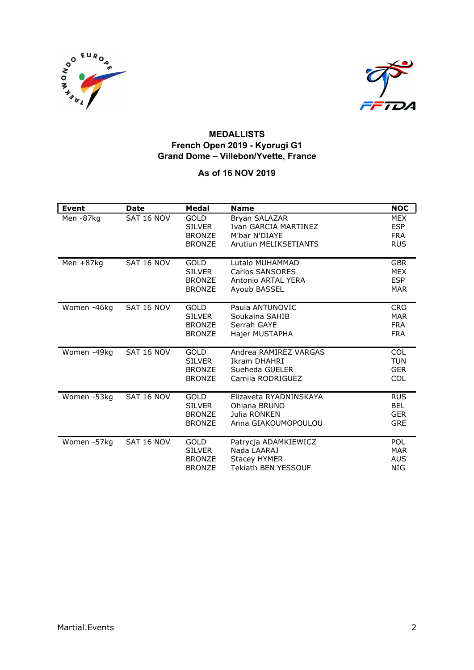



#### MEDALLISTS French Open 2019 - Kyorugi G1 Grand Dome – Villebon/Yvette, France

#### As of 16 NOV 2019

| Event        | <b>Date</b> | Medal                                                          | <b>Name</b>                                                                              | <b>NOC</b>                                           |
|--------------|-------------|----------------------------------------------------------------|------------------------------------------------------------------------------------------|------------------------------------------------------|
| Men-87kg     | SAT 16 NOV  | <b>GOLD</b><br><b>SILVER</b><br><b>BRONZE</b><br><b>BRONZE</b> | Bryan SALAZAR<br>Ivan GARCIA MARTINEZ<br>M'bar N'DIAYE<br><b>Arutiun MELIKSETIANTS</b>   | <b>MEX</b><br><b>ESP</b><br><b>FRA</b><br><b>RUS</b> |
| Men $+87$ kg | SAT 16 NOV  | <b>GOLD</b><br><b>SILVER</b><br><b>BRONZE</b><br><b>BRONZE</b> | Lutalo MUHAMMAD<br>Carlos SANSORES<br>Antonio ARTAL YERA<br>Ayoub BASSEL                 | <b>GBR</b><br><b>MEX</b><br><b>ESP</b><br><b>MAR</b> |
| Women -46kg  | SAT 16 NOV  | GOLD<br><b>SILVER</b><br><b>BRONZE</b><br><b>BRONZE</b>        | Paula ANTUNOVIC<br>Soukaina SAHIB<br>Serrah GAYE<br>Hajer MUSTAPHA                       | <b>CRO</b><br><b>MAR</b><br><b>FRA</b><br><b>FRA</b> |
| Women -49kg  | SAT 16 NOV  | GOLD<br><b>SILVER</b><br><b>BRONZE</b><br><b>BRONZE</b>        | Andrea RAMIREZ VARGAS<br>Ikram DHAHRI<br>Sueheda GUELER<br>Camila RODRIGUEZ              | <b>COL</b><br><b>TUN</b><br><b>GER</b><br><b>COL</b> |
| Women -53kg  | SAT 16 NOV  | <b>GOLD</b><br><b>SILVER</b><br><b>BRONZE</b><br><b>BRONZE</b> | Elizaveta RYADNINSKAYA<br>Ohiana BRUNO<br>Julia RONKEN<br>Anna GIAKOUMOPOULOU            | <b>RUS</b><br><b>BEL</b><br><b>GER</b><br><b>GRE</b> |
| Women -57kg  | SAT 16 NOV  | <b>GOLD</b><br><b>SILVER</b><br><b>BRONZE</b><br><b>BRONZE</b> | Patrycja ADAMKIEWICZ<br>Nada LAARAJ<br><b>Stacey HYMER</b><br><b>Tekiath BEN YESSOUF</b> | POL<br><b>MAR</b><br><b>AUS</b><br><b>NIG</b>        |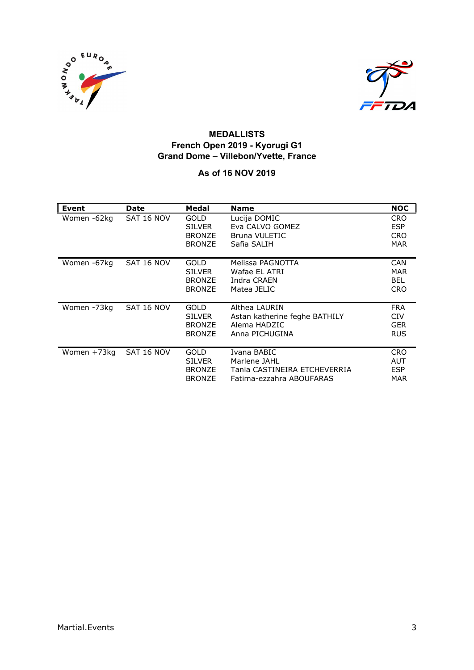



#### MEDALLISTS French Open 2019 - Kyorugi G1 Grand Dome – Villebon/Yvette, France

#### As of 16 NOV 2019

| Event       | Date       | Medal                                                          | <b>Name</b>                                                                             | <b>NOC</b>                                           |
|-------------|------------|----------------------------------------------------------------|-----------------------------------------------------------------------------------------|------------------------------------------------------|
| Women -62kg | SAT 16 NOV | GOLD<br><b>SILVER</b><br><b>BRONZE</b><br><b>BRONZE</b>        | Lucija DOMIC<br>Eva CALVO GOMEZ<br><b>Bruna VULETIC</b><br>Safia SALIH                  | <b>CRO</b><br><b>ESP</b><br><b>CRO</b><br><b>MAR</b> |
| Women -67kg | SAT 16 NOV | <b>GOLD</b><br><b>SILVER</b><br><b>BRONZE</b><br><b>BRONZE</b> | Melissa PAGNOTTA<br>Wafae EL ATRI<br>Indra CRAEN<br>Matea JELIC                         | <b>CAN</b><br>MAR<br><b>BEL</b><br><b>CRO</b>        |
| Women -73kg | SAT 16 NOV | <b>GOLD</b><br><b>SILVER</b><br><b>BRONZE</b><br><b>BRONZE</b> | Althea LAURIN<br>Astan katherine feghe BATHILY<br>Alema HADZIC<br>Anna PICHUGINA        | <b>FRA</b><br><b>CIV</b><br><b>GER</b><br><b>RUS</b> |
| Women +73kg | SAT 16 NOV | GOLD<br><b>SILVER</b><br><b>BRONZE</b><br><b>BRONZE</b>        | Ivana BABIC<br>Marlene JAHL<br>Tania CASTINEIRA ETCHEVERRIA<br>Fatima-ezzahra ABOUFARAS | <b>CRO</b><br>AUT<br><b>ESP</b><br>MAR               |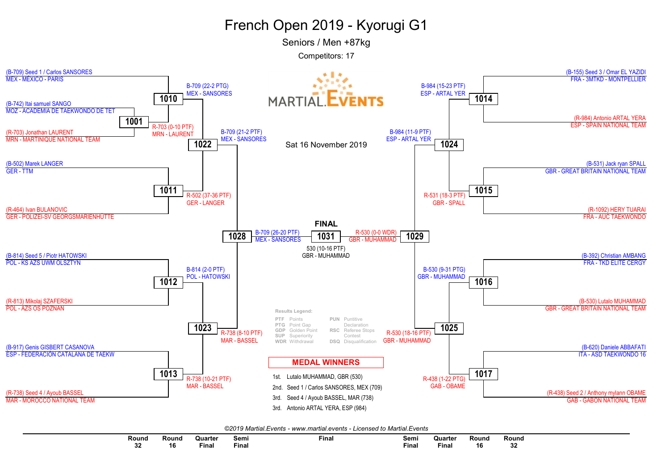Seniors / Men +87kg



| ©2019 Martial.Events - www.martial.events - Licensed to Martial.Events |
|------------------------------------------------------------------------|
|------------------------------------------------------------------------|

| Round | Round | Quarter<br>the contract of the contract of the contract of the contract of the contract of | Semi  | Fina | Semi  | Quarter<br>the contract of the contract of the contract of | Rounr | Round<br>~ |
|-------|-------|--------------------------------------------------------------------------------------------|-------|------|-------|------------------------------------------------------------|-------|------------|
| -JA   | 16    | Final                                                                                      | Final |      | Fina. | Final                                                      | 10    | υZ         |
|       |       |                                                                                            |       |      |       |                                                            |       |            |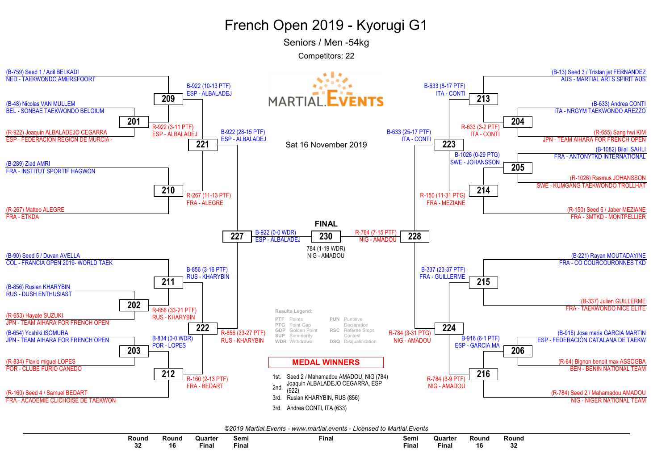Seniors / Men -54kg



| ©2019 Martial.Events - www.martial.events - Licensed to Martial.Events |
|------------------------------------------------------------------------|
|------------------------------------------------------------------------|

| Round<br>.  | Round | Quarte<br>the contract of the contract of the contract of the contract of the contract of the contract of the contract of | Semi  | --<br>Final | Semi  | Quarte       | Round | Round |
|-------------|-------|---------------------------------------------------------------------------------------------------------------------------|-------|-------------|-------|--------------|-------|-------|
| $\sim$<br>ິ | 16    | Final                                                                                                                     | Final |             | Final | <b>Final</b> | 10    | v     |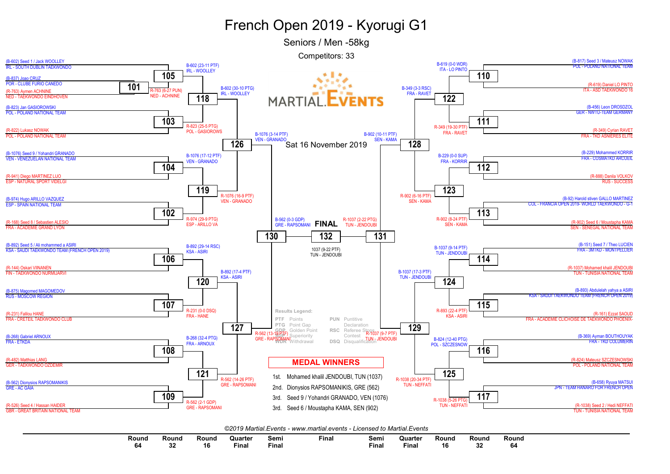Seniors / Men -58kg



| Round | Round     | Round | Quarter | Sem.  | Fina. | Sem.  | Quarte       | Round                | Round    | Round |
|-------|-----------|-------|---------|-------|-------|-------|--------------|----------------------|----------|-------|
| 64    | ^^<br>. . | ם ו   | Fina    | Fina. |       | Fina. | <b>Final</b> | $\overline{ }$<br>16 | ^^<br>υz | 64    |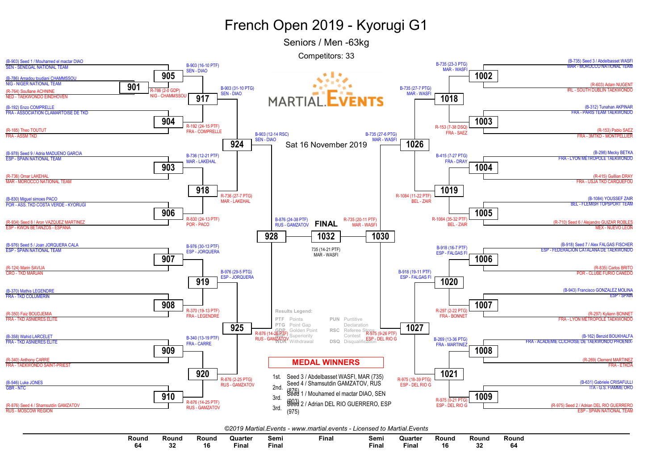Seniors / Men -63kg



| Round | Round | Round | Quarter | Semi  | Final | Semi  | Quarter | Round | Round | Round |  |
|-------|-------|-------|---------|-------|-------|-------|---------|-------|-------|-------|--|
| 64    |       | 16    | Final   | Final |       | Final | Fina.   |       |       | 64    |  |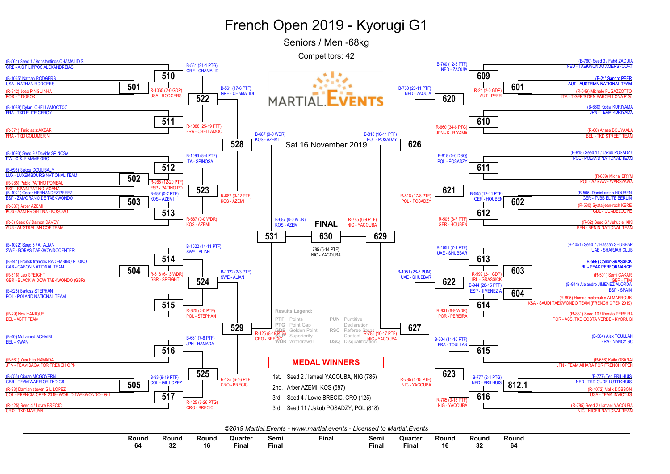Seniors / Men -68kg



|  | ©2019 Martial.Events - www.martial.events - Licensed to Martial.Events |
|--|------------------------------------------------------------------------|
|--|------------------------------------------------------------------------|

| Round | Round       | Round   | Quarter | Semi  | Final | Semi  | Quarter | Round | Rouno | Round |
|-------|-------------|---------|---------|-------|-------|-------|---------|-------|-------|-------|
| ne.   | $\sim$<br>ഄ | "<br>16 | Final   | Fina. |       | Final | Fina.   | 16    |       | 64    |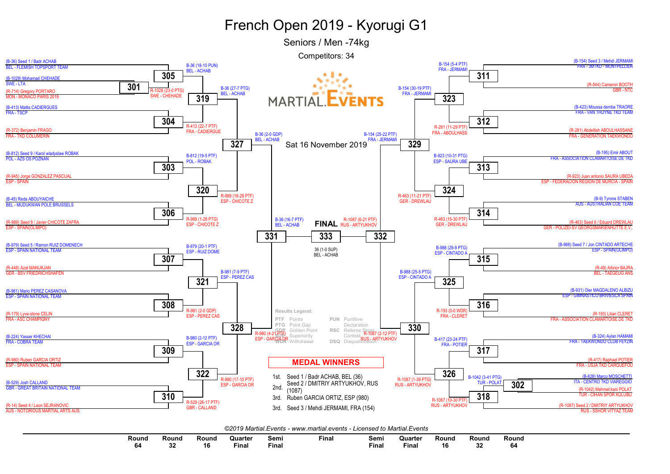Seniors / Men -74kg



 $\sim$ 

| Round | Round | kound | Quarte       | ∍emı  | Final | Semi  | Quarter | Round | Round | Round |
|-------|-------|-------|--------------|-------|-------|-------|---------|-------|-------|-------|
| 64    | ◡     | 1 t   | <b>Final</b> | Final |       | Final | Final   | 10    |       | 64    |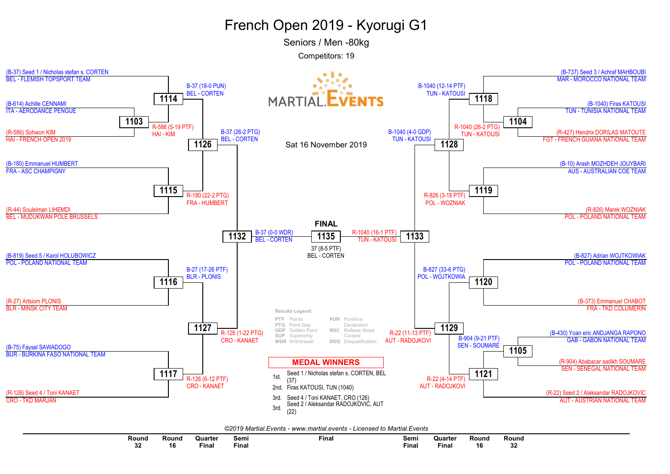Seniors / Men -80kg



|         |       |                                                                                                   |       | _____<br>.<br>. |       |                                                            |       |              |  |
|---------|-------|---------------------------------------------------------------------------------------------------|-------|-----------------|-------|------------------------------------------------------------|-------|--------------|--|
| Round   | Round | <b>Quarter</b><br>the contract of the contract of the contract of the contract of the contract of | Semi  | Final           | Semi  | Quarter<br>the contract of the contract of the contract of | Round | Round        |  |
| …<br>υz | ю     | Final                                                                                             | Fina. |                 | Fina. | <b>Final</b>                                               | 16    | $\sim$<br>οz |  |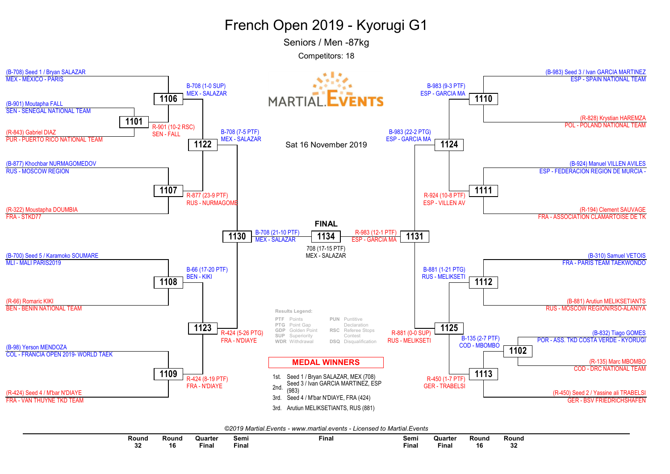Seniors / Men -87kg



| ©2019 Martial.Events - www.martial.events - Licensed to Martial.Events |
|------------------------------------------------------------------------|
|------------------------------------------------------------------------|

| Round | $\sim$<br>Round | Quarter<br>the contract of the contract of the contract of | Semi  | Final | Semi         | Quarte<br>the contract of the contract of the contract of | Round | Round    |
|-------|-----------------|------------------------------------------------------------|-------|-------|--------------|-----------------------------------------------------------|-------|----------|
| υz    | 16              | Fina                                                       | Finar |       | <b>Final</b> | Fina.                                                     | 16    | ^^<br>υz |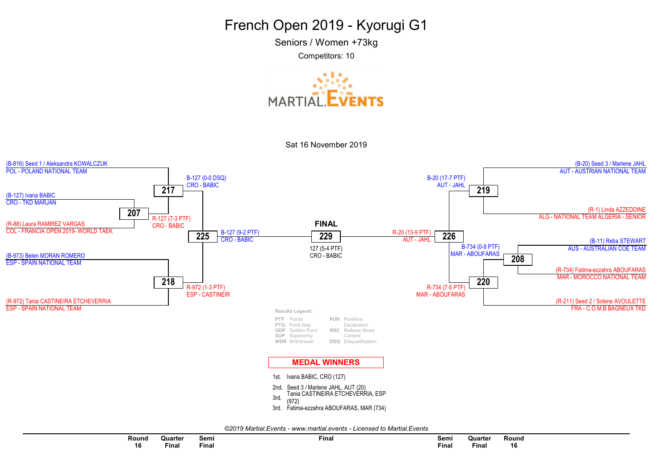Seniors / Women +73kg



Sat 16 November 2019



|  |  | ©2019 Martial.Events - www.martial.events - Licensed to Martial.Events |
|--|--|------------------------------------------------------------------------|
|--|--|------------------------------------------------------------------------|

| Round | Quarter | Semi<br>the contract of the contract of the contract of | --<br>Final | Semi         | Quarter      | Round |  |
|-------|---------|---------------------------------------------------------|-------------|--------------|--------------|-------|--|
| 16    | ™inal   | Final                                                   |             | <b>Final</b> | <b>Final</b> | 16    |  |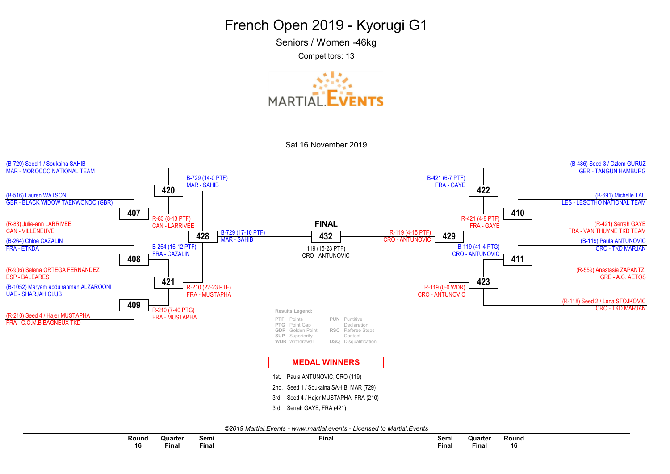Seniors / Women -46kg

Competitors: 13







©2019 Martial.Events - www.martial.events - Licensed to Martial.Events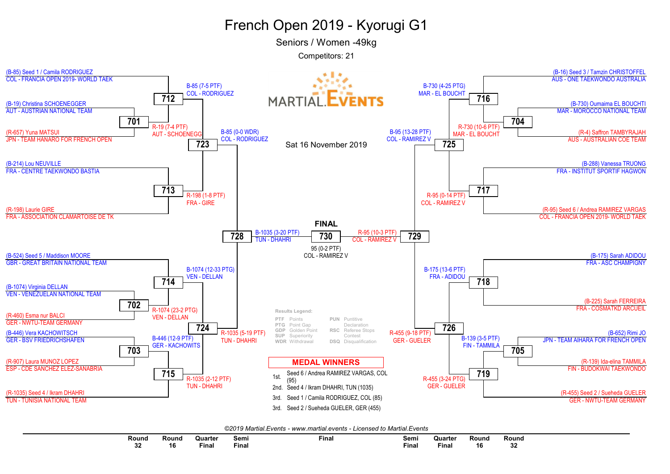Seniors / Women -49kg



|  |  |  | ©2019 Martial.Events - www.martial.events - Licensed to Martial.Events |  |  |
|--|--|--|------------------------------------------------------------------------|--|--|
|--|--|--|------------------------------------------------------------------------|--|--|

| Round   | Round | Quarter<br>the contract of the contract of the contract of the contract of the contract of the contract of the contract of | Semi  | --<br>Final | Semi  | Quarter | Round                 | <b>Round</b> |
|---------|-------|----------------------------------------------------------------------------------------------------------------------------|-------|-------------|-------|---------|-----------------------|--------------|
| ົ<br>◡▵ | 16    | Final                                                                                                                      | Final |             | Final | Fina    | $\overline{10}$<br>16 | ^^<br>υZ     |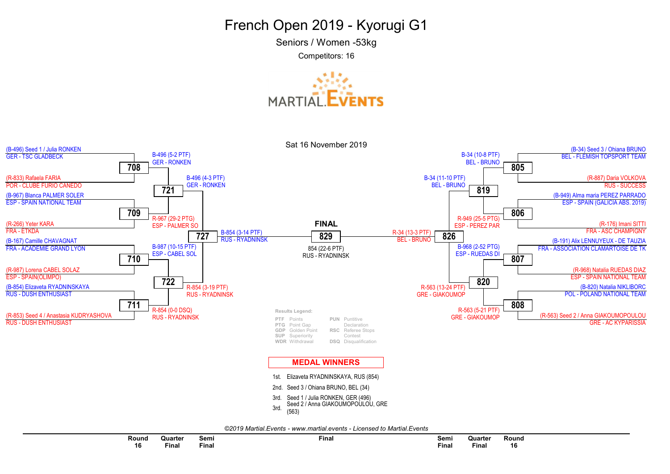Seniors / Women -53kg

Competitors: 16





©2019 Martial.Events - www.martial.events - Licensed to Martial.Events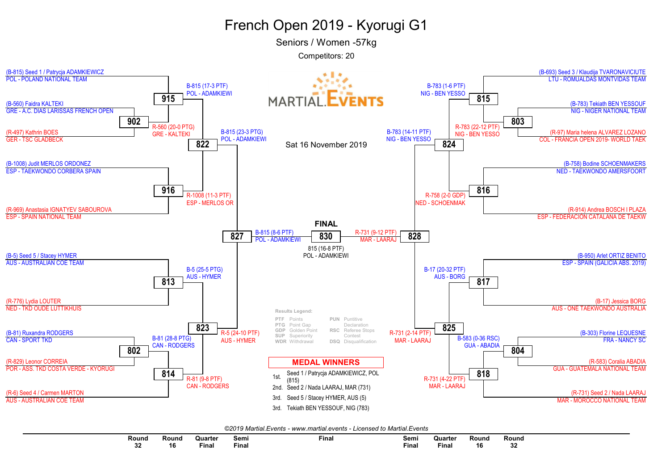Seniors / Women -57kg



| ©2019 Martial Events - www.martial.events - Licensed to Martial Events |  |  |
|------------------------------------------------------------------------|--|--|
|------------------------------------------------------------------------|--|--|

| Round | Round | Quarte <sup>®</sup> | Semi  | Final | Semi  | Quarte      | Rounc | <b>Round</b> |
|-------|-------|---------------------|-------|-------|-------|-------------|-------|--------------|
|       |       |                     |       |       | $  -$ |             |       |              |
| v.    | 16    | Final               | Final |       | Final | --<br>Final |       | ~<br>v       |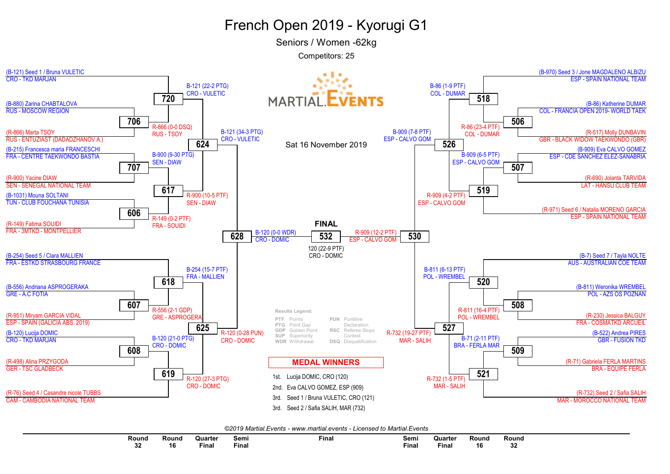Seniors / Women -62kg

Competitors: 25



©2019 Martial.Events - www.martial.events - Licensed to Martial.Events

| Round     | Round | Quarter                                                                                                         | Semi  | Final | Semi  | Quarter                                                                                                         | Round | Round     |
|-----------|-------|-----------------------------------------------------------------------------------------------------------------|-------|-------|-------|-----------------------------------------------------------------------------------------------------------------|-------|-----------|
|           |       | the contract of the contract of the contract of the contract of the contract of the contract of the contract of |       |       | $ -$  | the contract of the contract of the contract of the contract of the contract of the contract of the contract of |       |           |
| nn.<br>υz | 16    | Fina.                                                                                                           | Final |       | Final | Fina.                                                                                                           | 16    | n n<br>υz |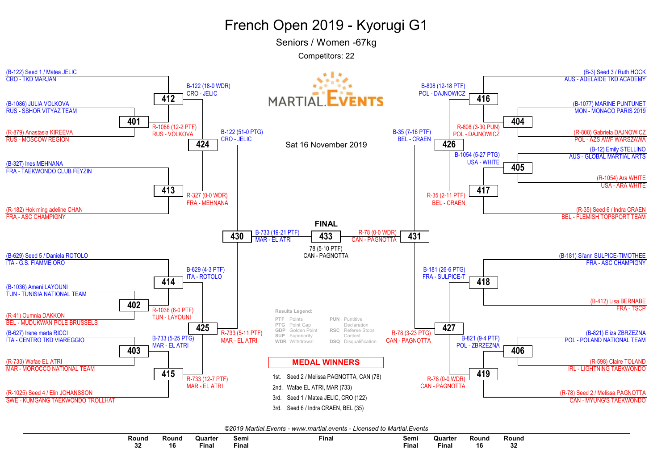Seniors / Women -67kg



| ©2019 Martial.Events - www.martial.events - Licensed to Martial.Events |
|------------------------------------------------------------------------|
|------------------------------------------------------------------------|

| Round   | Round | Quarte                                                                                                          | Semi        | Final | Semi  | <b>Quarter</b> | Round | Round        |
|---------|-------|-----------------------------------------------------------------------------------------------------------------|-------------|-------|-------|----------------|-------|--------------|
|         |       | the contract of the contract of the contract of the contract of the contract of the contract of the contract of |             |       |       |                |       |              |
| ^^<br>v | 16    | <b>Final</b>                                                                                                    | <b>Fina</b> |       | Final | Final          | 16    | $\sim$<br>◡▵ |